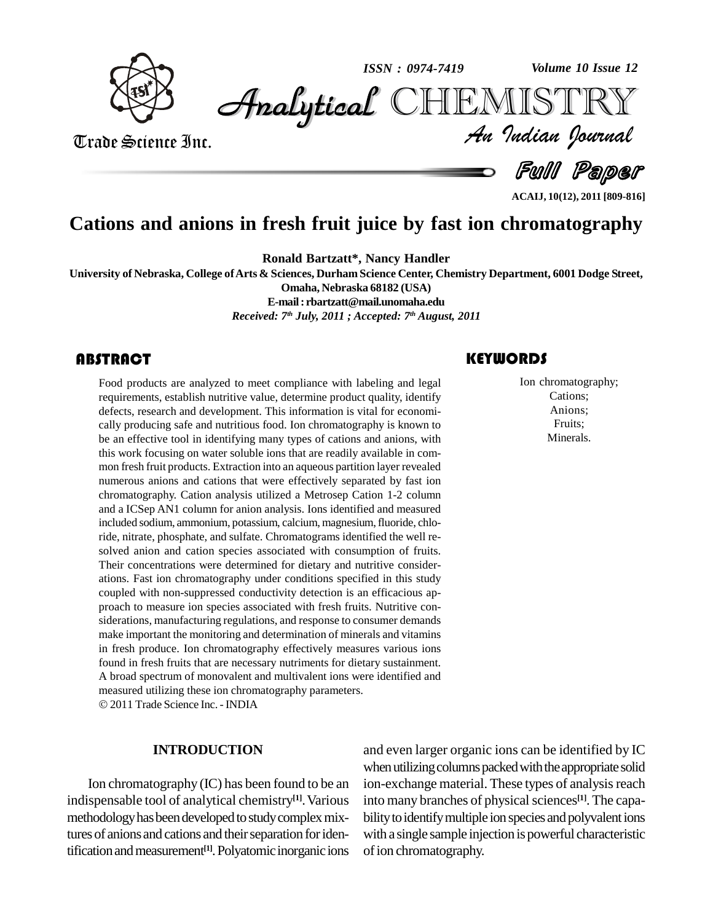

*Volume 10 Issue 12*



Trade Science Inc. Trade Science Inc.

*Volume 10 Issue 12*<br>IISTRY<br>*Indian Iournal* 

Full Paper

**ACAIJ, 10(12), 2011 [809-816]**

## **Cations and anions in fresh fruit juice by fast ion chromatography**

**Ronald Bartzatt\*, Nancy Handler**

**University of Nebraska, College ofArts & Sciences, Durham Science Center, Chemistry Department, 6001 Dodge Street,**

**Omaha, Nebraska 68182 (USA)**

**E-mail: [rbartzatt@mail.unomaha.edu](mailto:rbartzatt@mail.unomaha.edu)**

*Received: 7 th July, 2011 ; Accepted: 7 th August, 2011*

Food products are analy<br>requirements, establish n<br>defects, research and dev Food products are analyzed to meet compliance with labeling and legal requirements, establish nutritive value, determine product quality, identify defects, research and development. This information is vital for economi cally producing safe and nutritious food. Ion chromatography is known to be an effective tool in identifying many types of cations and anions, with this work focusing on water soluble ions that are readily available in com mon fresh fruit products. Extraction into an aqueous partition layer revealed numerous anions and cations that were effectively separated by fast ion chromatography. Cation analysis utilized a Metrosep Cation 1-2 column and a ICSep AN1 column for anion analysis. Ions identified and measured included sodium, ammonium, potassium, calcium, magnesium, fluoride, chloride, nitrate, phosphate, and sulfate. Chromatograms identified the well re solved anion and cation species associated with consumption of fruits. Their concentrations were determined for dietary and nutritive consider ations. Fast ion chromatography under conditions specified in this study coupled with non-suppressed conductivity detection is an efficacious ap proach to measure ion species associated with fresh fruits. Nutritive con siderations, manufacturing regulations, and response to consumer demands make important the monitoring and determination of minerals and vitamins in fresh produce. Ion chromatography effectively measures various ions found in fresh fruits that are necessary nutriments for dietary sustainment. A broad spectrum of monovalent and multivalent ions were identified and measured utilizing these ion chromatography parameters. © 2011 Trade Science Inc. - INDIA

#### **INTRODUCTION**

Ion chromatography (IC) has been found to be an indispensable tool of analytical chemistry<sup>[1]</sup>. Various into a methodology has been developed to study complex mixtures of anions and cations and their separation for identification and measurement<sup>[1]</sup>. Polyatomic inorganic ions of ion

### **KEYWORDS**

Ion chromatogram<br>Cations;<br>Anions; Ion chromatography; Cations; Anions; Fruits; Minerals.

and even larger organic ions can be identified by IC when utilizing columns packed with the appropriate solid ion-exchange material. These types of analysis reach into many branches of physical sciences<sup>[1]</sup>. The capability to identify multiple ion species and polyvalent ions with a single sample injection is powerful characteristic ofion chromatography.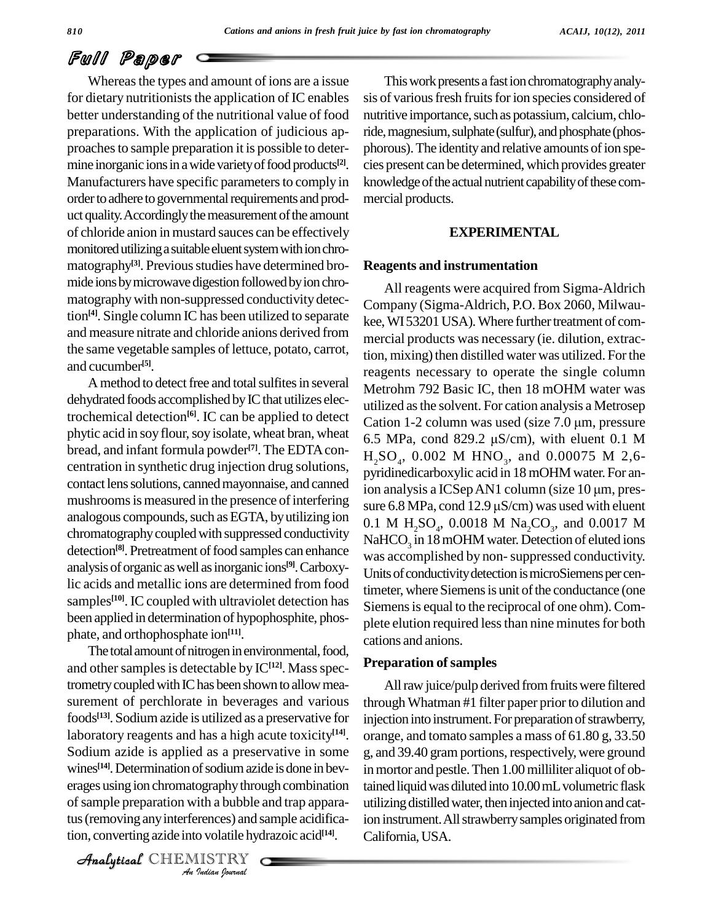# Full Paper

Whereas the types and amount of ions are a issue. for dietary nutritionists the application of IC enables better understanding of the nutritional value of food preparations. With the application of judicious ap proaches to sample preparation it is possible to determine inorganic ions in a wide variety of food products $[2]$ . Manufacturers have specific parameters to comply in order to adhere to governmental requirements and product quality. Accordingly the measurement of the amount of chloride anion in mustard sauces can be effectively monitored utilizing a suitable eluent system with ion chromatography<sup>[3]</sup>. Previous studies have determined bro- Rea mide ions by microwave digestion followed by ion chromatographywith non-suppressed conductivity detection<sup>[4]</sup>. Single column IC has been utilized to separate  $\overline{V_{\text{R}}^{\text{A}}}$ and measure nitrate and chloride anions derived from the same vegetable samples of lettuce, potato, carrot, and cucumber **[5]**.

A method to detect free and total sulfites in several dehydrated foods accomplished by IC that utilizes electrochemical detection<sup>[6]</sup>. IC can be applied to detect  $C_3$ phytic acid in soy flour, soy isolate, wheat bran, wheat  $6.5 \text{ MPa}$ , cond 829.2  $\mu$ S/cm), with eluent 0.1 M bread, and infant formula powder<sup>[7]</sup>. The EDTA concentration in synthetic drug injection drug solutions, contact lens solutions, canned mayonnaise, and canned mushrooms is measured in the presence of interfering sure  $6.8 \text{ MPa}$ , cond  $12.9 \mu\text{S/cm}$ ) was used with eluent analogous compounds, such as EGTA, by utilizing ion chromatographycoupledwith suppressed conductivity detection<sup>[8]</sup>. Pretreatment of food samples can enhance  $\frac{1}{N/25}$ analysisof organic aswell asinorganic ions **[9]**.Carboxylic acids and metallic ions are determined from food samples<sup>[10]</sup>. IC coupled with ultraviolet detection has  $\frac{m}{\sigma}$ been applied in determination of hypophosphite, phos phate, and orthophosphate ion **[11]**.

wines<sup>[14]</sup>. Determination of sodium azide is done in bev- in m *In solution azid*<br>*Indian Indian*<br>*Indian bournal*<br>*ISTRY* erages using ion chromatography through combination tained l The total amount of nitrogen in environmental, food, and other samples is detectable by IC<sup>[12]</sup>. Mass spectrometry coupled with IC has been shown to allow measurement of perchlorate in beverages and various foods<sup>[13]</sup>. Sodium azide is utilized as a preservative for inje laboratory reagents and has a high acute toxicity **[14]**. Sodium azide is applied as a preservative in some of sample preparation with a bubble and trap apparatus (removing any interferences) and sample acidification, converting azide into volatile hydrazoic acid **[14]**.

CHEMISTRY

**[2]**. cies present can be determined,which provides greater This work presents a fast ion chromatography analysis of various fresh fruits for ion species considered of nutritive importance, such as potassium, calcium, chloride, magnesium, sulphate (sulfur), and phosphate (phosphorous). The identity and relative amounts of ion speknowledge of the actual nutrient capability of these commercial products.

#### **EXPERIMENTAL**

#### **Reagents and instrumentation**

All reagents were acquired from Sigma-Aldrich Company (Sigma-Aldrich, P.O. Box 2060, Milwau kee, WI53201 USA). Where further treatment of commercial products was necessary (ie. dilution, extraction, mixing) then distilled water was utilized. For the reagents necessary to operate the single column Metrohm 792 Basic IC, then 18 mOHM water was utilized asthe solvent. For cation analysis a Metrosep Metrohm 792 Basic IC, then 18 mOHM water was<br>utilized as the solvent. For cation analysis a Metrosep<br>Cation 1-2 column was used (size 7.0 µm, pressure utilized as the solvent. For cation analysis a Metrosep<br>Cation 1-2 column was used (size 7.0 μm, pressure<br>6.5 MPa, cond 829.2 μS/cm), with eluent 0.1 M  $H_2SO_4$ , 0.002 M  $HNO_3$ , and 0.00075 M 2,6-<br>pyridinedicarboxylic acid in 18 mOHM water. For an-<br>ion analysis a ICSep AN1 column (size 10 µm, prespyridinedicarboxylic acid in 18mOHM water. For anion analysis a ICSep AN1 column (size  $10 \mu m$ , pres-0.1 M  $H_2SO_4$ , 0.0018 M  $Na_2CO_3$ , and 0.0017 M NaHCO<sub>3</sub> in 18 mOHM water. Detection of eluted ions was accomplished by non-suppressed conductivity. Units of conductivity detection is microSiemens per centimeter, where Siemens is unit of the conductance (one Siemens is equal to the reciprocal of one ohm). Complete elution required less than nine minutes for both cations and anions.

#### **Preparation ofsamples**

All raw juice/pulp derived from fruits were filtered through Whatman #1 filter paper prior to dilution and injection into instrument. For preparation of strawberry, orange, and tomato samples a mass of 61.80 g, 33.50 g, and 39.40 gram portions, respectively, were ground in mortor and pestle. Then 1.00 milliliter aliquot of obtained liquid was diluted into 10.00 mL volumetric flask utilizing distilled water, then injected into anion and cation instrument. All strawberry samples originated from California, USA.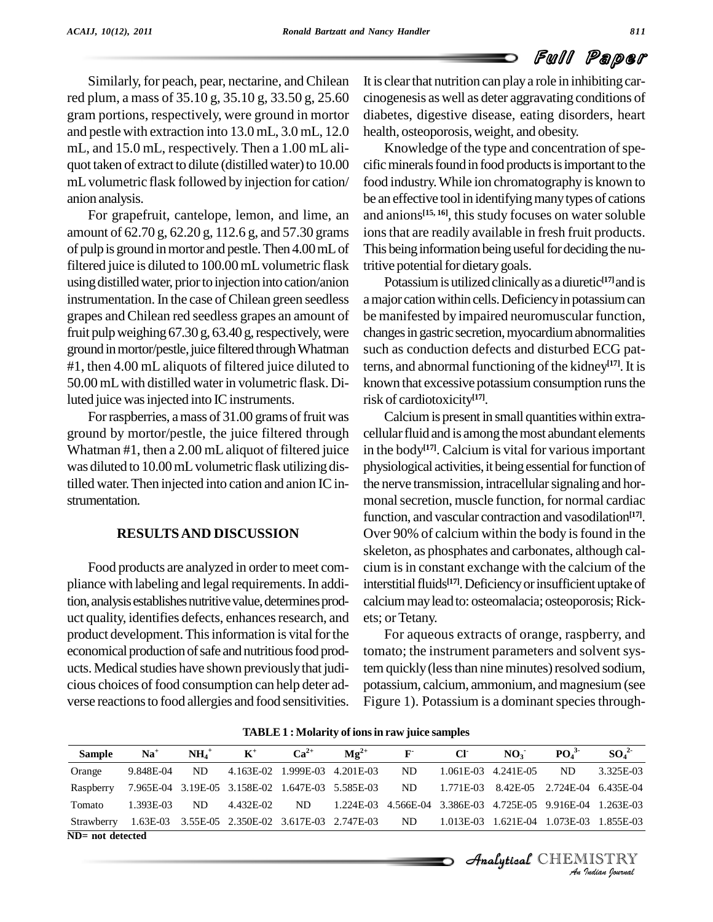Similarly, for peach, pear, nectarine, and Chilean red plum, a mass of 35.10 g, 35.10 g, 33.50 g, 25.60 gram portions, respectively, were ground in mortor and pestle with extraction into 13.0 mL, 3.0 mL, 12.0 mL, and 15.0 mL, respectively. Then a 1.00 mL aliquot taken of extract to dilute (distilled water) to 10.00 mLvolumetric flask followed by injection for cation/ anion analysis.

For grapefruit, cantelope, lemon, and lime, an amount of 62.70 g, 62.20 g, 112.6 g, and 57.30 grams of pulp is ground in mortor and pestle. Then 4.00 mL of filtered juice is diluted to 100.00 mL volumetric flask using distilled water, prior to injection into cation/anion instrumentation. In the case of Chilean green seedless grapes andChilean red seedless grapes an amount of fruit pulp weighing  $67.30$  g,  $63.40$  g, respectively, were ground in mortor/pestle, juice filtered through Whatman #1, then 4.00 mL aliquots of filtered juice diluted to 50.00 mLwith distilled waterin volumetric flask. Diluted juice was injected into IC instruments.

For raspberries, a mass of 31.00 grams of fruit was ground by mortor/pestle, the juice filtered through Whatman #1, then a 2.00 mLaliquot of filtered juice was diluted to 10.00 mL volumetric flask utilizing distilled water.Then injected into cation and anion ICin strumentation.

#### **RESULTSAND DISCUSSION**

Food products are analyzed in order to meet compliance with labeling and legal requirements. In addition, analysis establishes nutritive value, determines product quality, identifies defects, enhances research, and product development. This information is vital for the economical production of safe and nutritious food products. Medical studies have shown previously that judicious choices of food consumption can help deter ad verse reactionsto food allergies and food sensitivities. It is clear that nutrition can play a role in inhibiting carcinogenesis as well as deter aggravating conditions of diabetes, digestive disease, eating disorders, heart health, osteoporosis,weight, and obesity.

Knowledge of the type and concentration of specific minerals found in food products is important to the food industry.While ion chromatography isknown to be an effective tool in identifying many types of cations and anions **[15, 16]**, this study focuses on water soluble ions that are readily available in fresh fruit products. This being information being useful for deciding the nutritive potential for dietary goals.

Potassiumis utilizedclinicallyas a diuretic **[17]**andis a major cation within cells. Deficiency in potassium can be manifested by impaired neuromuscular function, changes in gastric secretion, myocardium abnormalities such as conduction defects and disturbed ECG patterns, and abnormal functioning of the kidney **[17]**.It is known that excessive potassium consumption runs the risk of cardiotoxicity **[17]**.

Calcium is present in small quantities within extracellular fluid and is among the most abundant elements in the body **[17]**. Calcium is vital for variousimportant physiological activities, it being essential for function of the nerve transmission, intracellular signaling and hormonal secretion, muscle function, for normal cardiac function, and vascular contraction and vasodilation **[17]**. Over 90% of calcium within the body is found in the skeleton, as phosphates and carbonates, although cal cium is in constant exchange with the calcium of the interstitial fluids<sup>[17]</sup>. Deficiency or insufficient uptake of calcium may lead to: osteomalacia; osteoporosis; Rickets; or Tetany.

For aqueous extracts of orange, raspberry, and tomato; the instrument parameters and solvent system quickly (less than nine minutes) resolved sodium, potassium, calcium, ammonium, and magnesium (see Figure 1). Potassium is a dominant species through-

| <b>Sample</b>    | $Na+$     | $NH4+$ | $\mathbf{K}^+$                                   | $Ca^{2+}$           | $\mathbf{Mg}^{2+}$ | $\mathbf{F}$ | <b>CF</b>   | NO <sub>3</sub> | PO <sub>4</sub> <sup>3</sup>  | SO <sub>4</sub> <sup>2</sup> |
|------------------|-----------|--------|--------------------------------------------------|---------------------|--------------------|--------------|-------------|-----------------|-------------------------------|------------------------------|
| Orange           | 9.848E-04 | ND.    | 4.163E-02                                        | 1.999E-03 4.201E-03 |                    | ND           | $1.061E-03$ | 4.241E-05       | ND                            | 3.325E-03                    |
| Raspberry        |           |        | 7.965E-04 3.19E-05 3.158E-02 1.647E-03 5.585E-03 |                     |                    | ND           | 1.771E-03   | 8.42E-05        | 2.724E-04 6.435E-04           |                              |
| Tomato           | 1.393E-03 | ND.    | 4.432E-02                                        | ND                  | 1.224E-03          | 4.566E-04    | 3.386E-03   |                 | 4.725E-05 9.916E-04 1.263E-03 |                              |
| Strawberry       |           |        | 1.63E-03 3.55E-05 2.350E-02 3.617E-03 2.747E-03  |                     |                    | ND           | 1.013E-03   | 1.621E-04       | 1.073E-03                     | 1.855E-03                    |
| ND= not detected |           |        |                                                  |                     |                    |              |             |                 |                               |                              |
|                  |           |        |                                                  |                     |                    |              |             |                 | <i>Analytical</i> CHEMISTRY   |                              |
|                  |           |        |                                                  |                     |                    |              |             |                 |                               | An Indian Nournal            |

**TABLE1 : Molarity of ionsin raw juice samples**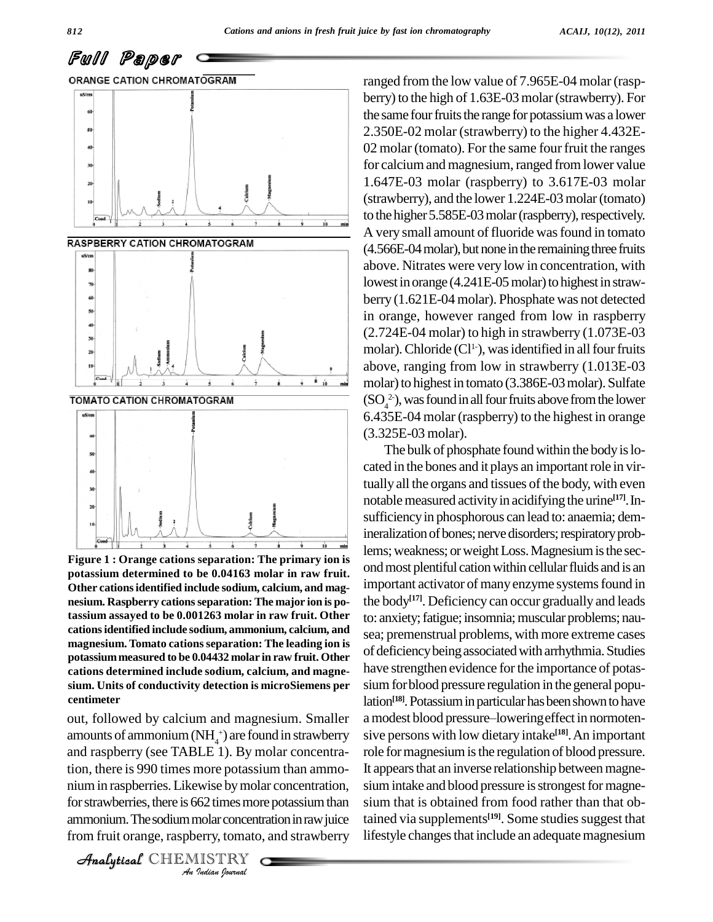Full Paper



**Figure 1 : Orange cations separation: The primary ion is potassium determined to be 0.04163 molar in raw fruit. Other cationsidentified include sodium, calcium, and mag nesium. Raspberry cationsseparation: The major ion is potassium assayed to be 0.001263 molar in raw fruit. Other cationsidentified include sodium, ammonium, calcium, and magnesium. Tomato cationsseparation: The leading ion is potassiummeasured to be 0.04432 molar in raw fruit. Other cations determined include sodium, calcium, and magne sium. Units of conductivity detection is microSiemens per centimeter**

tion, there is 990 times more potassium than ammo- It ap *I*<br>Isolahovise by mola<br>*Indian* concentrative<br>*IISTRY*<br>*IISTRY* Analytical processes in the concentration and the matter of the concentration, site of the concentration, site out, followed by calcium and magnesium. Smaller amounts of ammonium  $(NH<sub>4</sub><sup>+</sup>)$  are found in strawberry and raspberry (see TABLE 1). By molar concentrafor strawberries, there is 662 times more potassium than ammonium. The sodium molar concentration in raw juice from fruit orange, raspberry, tomato, and strawberry

CHEMISTRY

ranged from the low value of 7.965E-04 molar (rasp berry) to the high of 1.63E-03 molar (strawberry). For the same four fruits the range for potassium was a lower 2.350E-02 molar (strawberry) to the higher 4.432E- 02 molar (tomato). For the same four fruit the ranges for calcium and magnesium, ranged from lower value 1.647E-03 molar (raspberry) to 3.617E-03 molar (strawberry), and the lower 1.224E-03molar(tomato) to the higher 5.585E-03 molar (raspberry), respectively. A very small amount of fluoride wasfound in tomato (4.566E-04 molar), but none in the remaining three fruits above. Nitrates were very low in concentration, with lowest in orange (4.241E-05 molar) to highest in strawberry (1.621E-04 molar). Phosphate was not detected in orange, however ranged from low in raspberry (2.724E-04 molar) to high in strawberry (1.073E-03 molar). Chloride  $(Cl^1)$ , was identified in all four fruits above, ranging from low in strawberry (1.013E-03 molar) to highest in tomato (3.386E-03 molar). Sulfate  $(SO_4^2)$ , was found in all four fruits above from the lower 6.435E-04 molar (raspberry) to the highest in orange (3.325E-03 molar).

The bulk of phosphate found within the body is located in the bones and it plays an important role in virtually all the organs and tissues of the body, with even notable measured activity in acidifying the urine<sup>[17]</sup>. Insufficiency in phosphorous can lead to: anaemia; demineralization of bones; nerve disorders; respiratory problems; weakness; or weight Loss. Magnesium is the second most plentiful cation within cellular fluids and is an important activator of many enzyme systems found in the body **[17]**. Deficiency can occur gradually and leads to: anxiety; fatigue; insomnia; muscular problems; nausea; premenstrual problems, with more extreme cases of deficiencybeingassociatedwith arrhythmia.Studies have strengthen evidence for the importance of potassium for blood pressure regulation in the general population<sup>[18]</sup>. Potassium in particular has been shown to have a modest blood pressure-lowering effect in normotensive persons with low dietary intake **[18]**.An important role for magnesium is the regulation of blood pressure. It appears that an inverse relationship between magnesium intake and blood pressure is strongest for magnesium that is obtained from food rather than that obtained via supplements<sup>[19]</sup>. Some studies suggest that lifestyle changes that include an adequate magnesium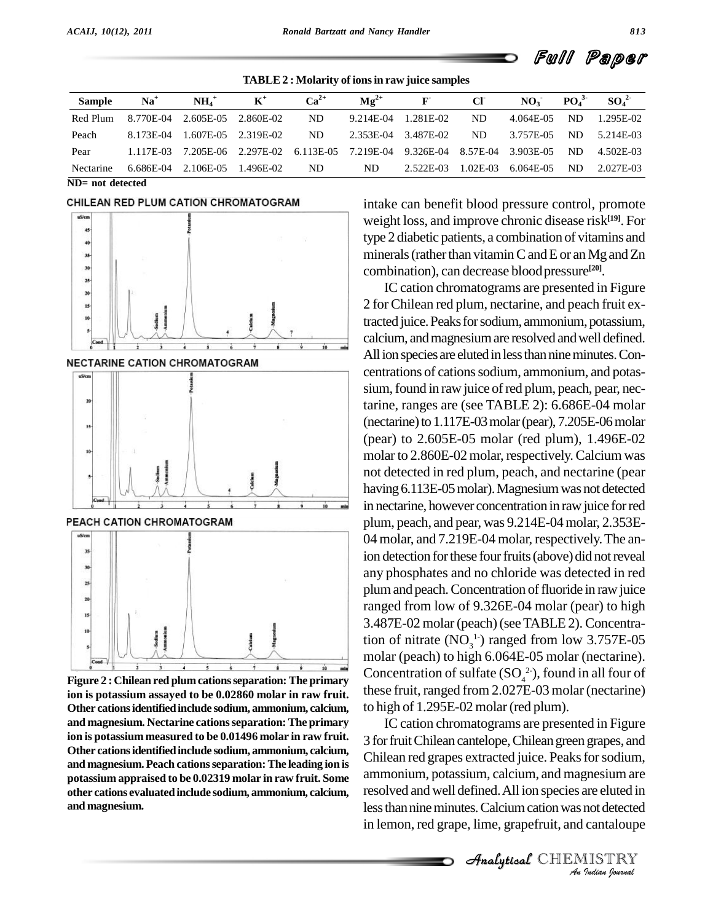**TABLE2 : Molarity of ionsin raw juice samples**

| <b>Sample</b> | $Na+$     | $NH4+$              | $\mathbf{K}^+$                          | $Ca^{2+}$ | $\mathbf{Mg}^{2+}$ | $\mathbf{F}$       | CF         | NO <sub>3</sub> | $PQ_4^3$ | $SO_4^2$  |
|---------------|-----------|---------------------|-----------------------------------------|-----------|--------------------|--------------------|------------|-----------------|----------|-----------|
| Red Plum      | 8.770E-04 | 2.605E-05 2.860E-02 |                                         | ND.       | 9.214E-04          | 1.281E-02          | ND.        | 4.064E-05       | ND.      | 1.295E-02 |
| Peach         | 8.173E-04 |                     | 1.607E-05 2.319E-02                     | ND        | 2.353E-04          | 3.487E-02          | ND.        | 3.757E-05       | ND.      | 5.214E-03 |
| Pear          | 1.117E-03 |                     | 7.205E-06 2.297E-02 6.113E-05 7.219E-04 |           |                    | 9.326E-04 8.57E-04 |            | 3.903E-05       | ND.      | 4.502E-03 |
| Nectarine     | 6.686E-04 | 2.106E-05           | 1.496E-02                               | ND        | ND.                | 2.522E-03          | $1.02E-03$ | 6.064E-05       | ND.      | 2.027E-03 |

**ND=** not detected



PEACH CATION CHROMATOGRAM



**Figure 2 : Chilean red plumcationsseparation:The primary ion is potassium assayed to be 0.02860 molar in raw fruit. Other cationsidentifiedinclude sodium, ammonium, calcium, and magnesium. Nectarine cationsseparation: The primary ion is potassium measured to be 0.01496 molar in raw fruit. Other cationsidentifiedinclude sodium, ammonium, calcium, and magnesium.Peach cationsseparation:The leading ion is potassium appraised to be 0.02319 molar in raw fruit. Some other cations evaluatedinclude sodium, ammonium, calcium, and magnesium.**

intake can benefit blood pressure control, promote weight loss, and improve chronic disease risk **[19]**. For type 2 diabetic patients, a combination of vitamins and minerals (rather than vitamin C and E or an Mg and Zn combination), can decrease bloodpressure **[20]**.

IC cation chromatograms are presented in Figure 2 for Chilean red plum, nectarine, and peach fruit extracted juice. Peaks for sodium, ammonium, potassium, calcium, and magnesium are resolved and well defined. All ion species are eluted in less than nine minutes. Concentrations of cations sodium, ammonium, and potassium, found in raw juice of red plum, peach, pear, nectarine, ranges are (see TABLE 2): 6.686E-04 molar (nectarine) to  $1.117E-03$  molar (pear),  $7.205E-06$  molar (pear) to 2.605E-05 molar (red plum), 1.496E-02 molar to 2.860E-02 molar, respectively. Calcium was not detected in red plum, peach, and nectarine (pear having 6.113E-05 molar). Magnesium was not detected in nectarine, however concentration in raw juice for red plum, peach, and pear, was 9.214E-04molar, 2.353E- 04 molar, and 7.219E-04 molar, respectively.The anion detection for these four fruits (above) did not reveal any phosphates and no chloride was detected in red plum and peach. Concentration of fluoride in raw juice ranged from low of 9.326E-04 molar (pear) to high 3.487E-02 molar (peach)(seeTABLE 2).Concentration of nitrate  $(NO<sub>3</sub><sup>1</sup>)$  ranged from low 3.757E-05 molar (peach) to high 6.064E-05 molar (nectarine). Concentration of sulfate  $(SO_4^2)$ , found in all four of these fruit, ranged from 2.027E-03 molar (nectarine) to high of 1.295E-02 molar (red plum).

ammonium, potassium, calcium, and magnesium are *Inesium are*<br>*Inot detected*<br>*Cantaloupe<br>IISTRY*<br>*Indian Iournal* IC cation chromatograms are presented in Figure 3 forfruitChilean cantelope,Chileangreen grapes, and Chilean red grapes extracted juice. Peaks for sodium, resolved and well defined.All ion species are eluted in less than nine minutes. Calcium cation was not detected in lemon, red grape, lime, grapefruit, and cantaloupe

Full Paper

CHEMISTRY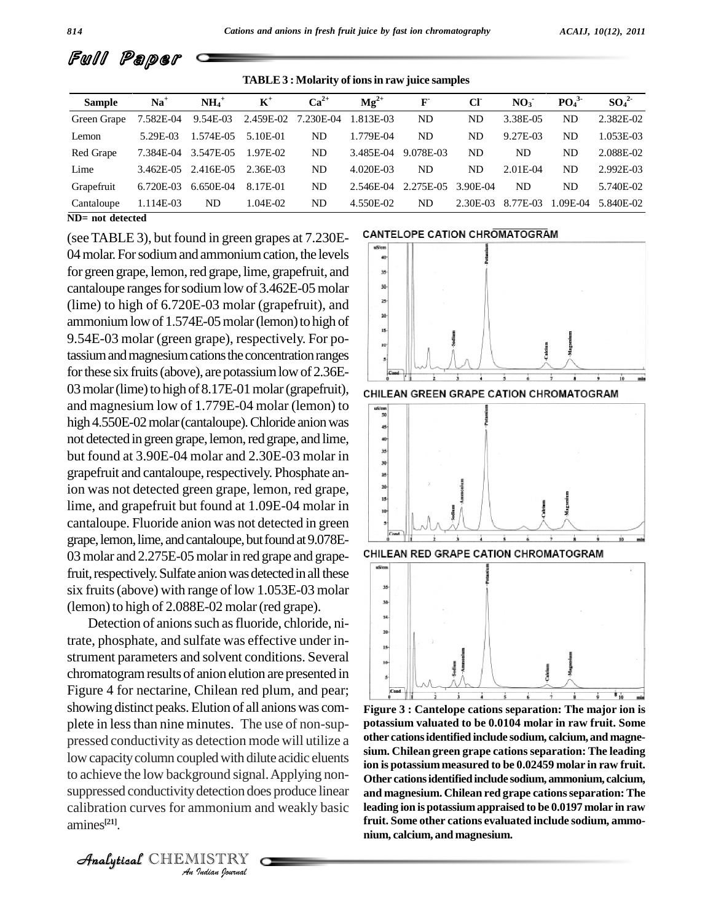

**TABLE3 : Molarity of ionsin raw juice samples**

| <b>Sample</b>       | $Na+$     | $NH4+$      | $\mathbf{K}^+$                | $Ca^{2+}$ | $\mathbf{Mg}^{2+}$ | $\mathbf{F}$ | CI       | NO <sub>3</sub> | PO <sub>4</sub> <sup>3</sup> | $SO_4^2$  |
|---------------------|-----------|-------------|-------------------------------|-----------|--------------------|--------------|----------|-----------------|------------------------------|-----------|
| Green Grape         | 7.582E-04 | 9.54E-03    | 2.459E-02 7.230E-04 1.813E-03 |           |                    | ND           | ND       | 3.38E-05        | ND                           | 2.382E-02 |
| Lemon               | 5.29E-03  | 1.574E-05   | 5.10E-01                      | ND        | 1.779E-04          | ND           | ND       | 9.27E-03        | ND.                          | 1.053E-03 |
| Red Grape           | 7.384E-04 | 3.547E-05   | 1.97E-02                      | ND        | 3.485E-04          | 9.078E-03    | ND       | ND.             | ND                           | 2.088E-02 |
| Lime                | 3.462E-05 | 2.416E-05   | 2.36E-03                      | ND        | 4.020E-03          | ND           | ND       | $2.01E-04$      | ND                           | 2.992E-03 |
| Grapefruit          | 6.720E-03 | $6.650E-04$ | 8.17E-01                      | ND        | $2.546E-04$        | 2.275E-05    | 3.90E-04 | ND.             | ND                           | 5.740E-02 |
| Cantaloupe          | 1.114E-03 | ND          | 1.04E-02                      | ND        | 4.550E-02          | ND           | 2.30E-03 | 8.77E-03        | .09E-04                      | 5.840E-02 |
| $ND = not detected$ |           |             |                               |           |                    |              |          |                 |                              |           |

(see TABLE 3), but found in green grapes at 7.230E-<br>CANTELOPE CATION CHROMATOGRAM 04 molar. For sodium and ammonium cation, the levels for green grape, lemon, red grape, lime, grapefruit, and cantaloupe ranges for sodium low of  $3.462E-05$  molar (lime) to high of 6.720E-03 molar (grapefruit), and ammonium low of 1.574E-05 molar (lemon) to high of 9.54E-03 molar (green grape), respectively. For potassium and magnesium cations the concentration ranges for these six fruits (above), are potassium low of 2.36E-03 molar (lime) to high of 8.17E-01 molar (grapefruit), child an Green Grape cation chromatogram and magnesium low of 1.779E-04 molar (lemon) to  $\frac{120}{\frac{100}{30}}$ high 4.550E-02 molar (cantaloupe). Chloride anion was not detected in green grape, lemon, red grape, and lime, but found at  $3.90E-04$  molar and  $2.30E-03$  molar in grapefruit and cantaloupe, respectively. Phosphate anion was not detected green grape, lemon, red grape, lime, and grapefruit but found at  $1.09E-04$  molar in cantaloupe. Fluoride anion was not detected in green grape, lemon, lime, and cantaloupe, but found at 9.078E-03 molar and 2.275E-05 molar in red grape and grape-<br>CHILEAN RED GRAPE CATION CHROMATOGRAM fruit, respectively. Sulfate anion was detected in all these six fruits (above) with range of low  $1.053E-03$  molar  $\frac{1}{2}$ (lemon) to high of 2.088E-02 molar (red grape).

to achieve the low background signal. Applying non-<br>Other *I*<br>detection doe<br>mmonium ar<br>*Indian Journal* Detection of anions such as fluoride, chloride, nitrate, phosphate, and sulfate was effective under instrument parameters and solvent conditions. Several chromatogramresults of anion elution are presented in Figure 4 for nectarine, Chilean red plum, and pear; showing distinct peaks.Elution of all anionswas com plete in lessthan nine minutes. The use of non-sup pressed conductivity as detection mode will utilize a low capacity column coupled with dilute acidic eluents suppressed conductivity detection does produce linear calibration curves for ammonium and weakly basic amines **[21]**.



**Figure 3 : Cantelope cations separation: The major ion is potassium valuated to be 0.0104 molar in raw fruit. Some other cationsidentified include sodium, calcium, and magne sium. Chilean green grape cationsseparation: The leading ion is potassiummeasured to be 0.02459 molar in raw fruit. Other cationsidentifiedinclude sodium, ammonium, calcium, and magnesium. Chilean red grape cationsseparation: The leading ion is potassiumappraised to be 0.0197 molar in raw fruit. Some other cations evaluated include sodium, ammo nium, calcium, and magnesium.**

CHEMISTRY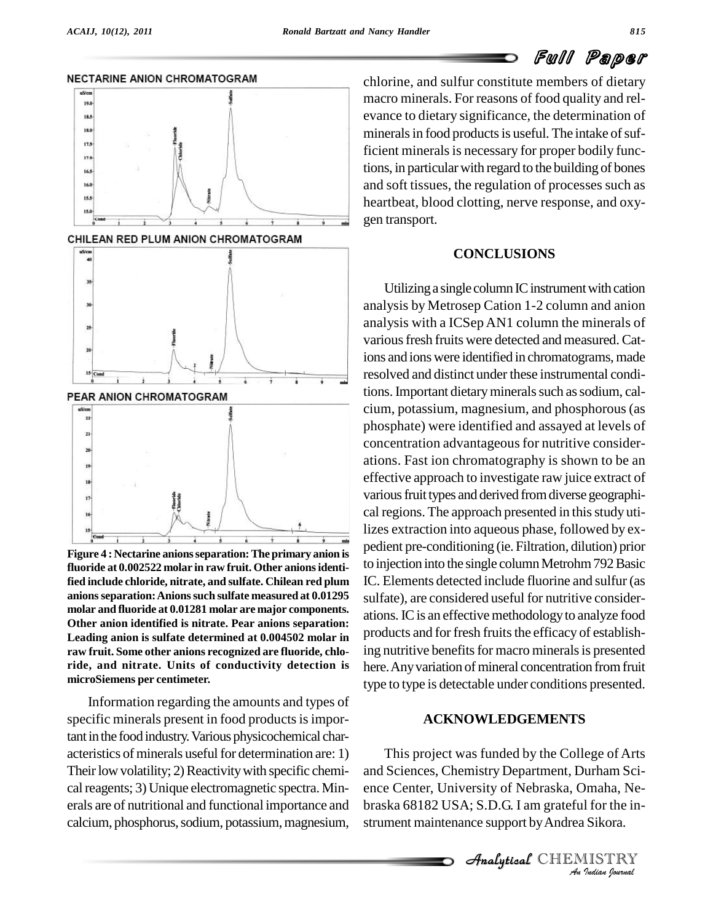NECTARINE ANION CHROMATOGRAM

# Full Paper



**Figure 4 : Nectarine anionsseparation:Theprimary anion is fluoride at 0.002522 molar in raw fruit. Other anionsidentified include chloride, nitrate, and sulfate. Chilean red plum anionsseparation:Anionssuch sulfate measured at 0.01295 molar and fluoride at 0.01281 molar are major components. Other anion identified is nitrate. Pear anions separation: Leading anion is sulfate determined at 0.004502 molar in raw fruit. Some other anions recognized are fluoride, chlo ride, and nitrate. Units of conductivity detection is microSiemens per centimeter.**

Information regarding the amounts and types of specific minerals present in food products is important in the food industry. Various physicochemical characteristics of minerals useful for determination are: 1) Their low volatility; 2) Reactivity with specific chemical reagents; 3) Unique electromagnetic spectra. Minerals are of nutritional and functional importance and calcium, phosphorus, sodium, potassium, magnesium,

chlorine, and sulfur constitute members of dietary macro minerals. For reasons of food quality and rel evance to dietary significance, the determination of minerals in food products is useful. The intake of sufficient minerals is necessary for proper bodily functions, in particular with regard to the building of bones and soft tissues, the regulation of processes such as heartbeat, blood clotting, nerve response, and oxy gen transport.

#### **CONCLUSIONS**

Utilizing a single column IC instrument with cation analysis by Metrosep Cation 1-2 column and anion analysis with a ICSep AN1 column the minerals of various fresh fruits were detected and measured. Cations and ions were identified in chromatograms, made resolved and distinct under these instrumental conditions. Important dietary minerals such as sodium, calcium, potassium, magnesium, and phosphorous(as phosphate) were identified and assayed at levels of concentration advantageous for nutritive considerations. Fast ion chromatography is shown to be an effective approach to investigate raw juice extract of various fruit types and derived from diverse geographical regions. The approach presented in this study utilizes extraction into aqueous phase, followed by ex pedient pre-conditioning (ie. Filtration, dilution) prior to injection into the single column Metrohm 792 Basic IC. Elements detected include fluorine and sulfur (as sulfate), are considered useful for nutritive consider ations.ICis an effective methodologyto analyze food products and for fresh fruits the efficacy of establishing nutritive benefits for macro minerals is presented here. Any variation of mineral concentration from fruit type to type is detectable under conditions presented.

#### **ACKNOWLEDGEMENTS**

*An*and Sciences, Chemistry Department, Durham Sci- *Imaha, Ne-*<br>*I* for the in-<br>*I* Sikora.<br>IISTRY ana Setences, Chemistry Department, Durham Serence Center, University of Nebraska, Omaha, Ne-This project was funded by the College of Arts braska 68182 USA; S.D.G. I am grateful for the in strument maintenance support by Andrea Sikora.